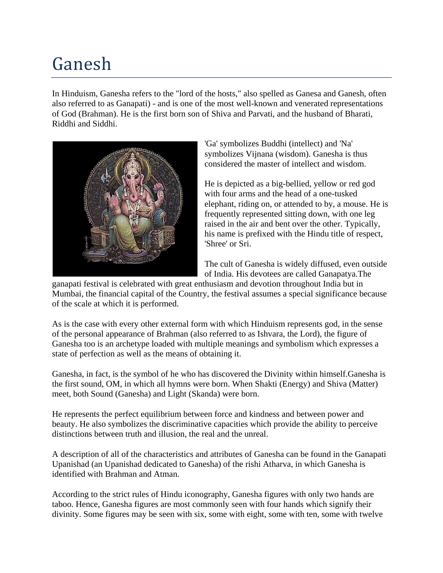# Ganesh

In Hinduism, Ganesha refers to the "lord of the hosts," also spelled as Ganesa and Ganesh, often also referred to as Ganapati) - and is one of the most well-known and venerated representations of God (Brahman). He is the first born son of Shiva and Parvati, and the husband of Bharati, Riddhi and Siddhi.



'Ga' symbolizes Buddhi (intellect) and 'Na' symbolizes Vijnana (wisdom). Ganesha is thus considered the master of intellect and wisdom.

He is depicted as a big-bellied, yellow or red god with four arms and the head of a one-tusked elephant, riding on, or attended to by, a mouse. He is frequently represented sitting down, with one leg raised in the air and bent over the other. Typically, his name is prefixed with the Hindu title of respect, 'Shree' or Sri.

The cult of Ganesha is widely diffused, even outside of India. His devotees are called Ganapatya.The

ganapati festival is celebrated with great enthusiasm and devotion throughout India but in Mumbai, the financial capital of the Country, the festival assumes a special significance because of the scale at which it is performed.

As is the case with every other external form with which Hinduism represents god, in the sense of the personal appearance of Brahman (also referred to as Ishvara, the Lord), the figure of Ganesha too is an archetype loaded with multiple meanings and symbolism which expresses a state of perfection as well as the means of obtaining it.

Ganesha, in fact, is the symbol of he who has discovered the Divinity within himself.Ganesha is the first sound, OM, in which all hymns were born. When Shakti (Energy) and Shiva (Matter) meet, both Sound (Ganesha) and Light (Skanda) were born.

He represents the perfect equilibrium between force and kindness and between power and beauty. He also symbolizes the discriminative capacities which provide the ability to perceive distinctions between truth and illusion, the real and the unreal.

A description of all of the characteristics and attributes of Ganesha can be found in the Ganapati Upanishad (an Upanishad dedicated to Ganesha) of the rishi Atharva, in which Ganesha is identified with Brahman and Atman.

According to the strict rules of Hindu iconography, Ganesha figures with only two hands are taboo. Hence, Ganesha figures are most commonly seen with four hands which signify their divinity. Some figures may be seen with six, some with eight, some with ten, some with twelve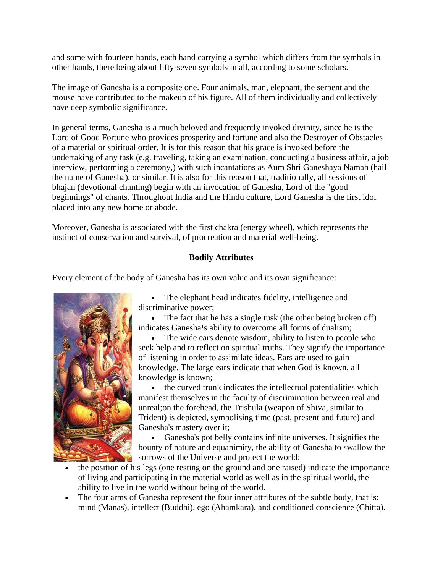and some with fourteen hands, each hand carrying a symbol which differs from the symbols in other hands, there being about fifty-seven symbols in all, according to some scholars.

The image of Ganesha is a composite one. Four animals, man, elephant, the serpent and the mouse have contributed to the makeup of his figure. All of them individually and collectively have deep symbolic significance.

In general terms, Ganesha is a much beloved and frequently invoked divinity, since he is the Lord of Good Fortune who provides prosperity and fortune and also the Destroyer of Obstacles of a material or spiritual order. It is for this reason that his grace is invoked before the undertaking of any task (e.g. traveling, taking an examination, conducting a business affair, a job interview, performing a ceremony,) with such incantations as Aum Shri Ganeshaya Namah (hail the name of Ganesha), or similar. It is also for this reason that, traditionally, all sessions of bhajan (devotional chanting) begin with an invocation of Ganesha, Lord of the "good beginnings" of chants. Throughout India and the Hindu culture, Lord Ganesha is the first idol placed into any new home or abode.

Moreover, Ganesha is associated with the first [chakra](http://www.crystalinks.com/chakras.html) (energy wheel), which represents the instinct of conservation and survival, of procreation and material well-being.

## **Bodily Attributes**

Every element of the body of Ganesha has its own value and its own significance:



• The elephant head indicates fidelity, intelligence and discriminative power;

The fact that he has a single tusk (the other being broken off) indicates Ganesha<sup>1</sup>s ability to overcome all forms of dualism;

The wide ears denote wisdom, ability to listen to people who seek help and to reflect on spiritual truths. They signify the importance of listening in order to assimilate ideas. Ears are used to gain knowledge. The large ears indicate that when God is known, all knowledge is known;

• the curved trunk indicates the intellectual potentialities which manifest themselves in the faculty of discrimination between real and unreal;on the forehead, the Trishula (weapon of Shiva, similar to Trident) is depicted, symbolising time (past, present and future) and Ganesha's mastery over it;

• Ganesha's pot belly contains infinite universes. It signifies the bounty of nature and equanimity, the ability of Ganesha to swallow the sorrows of the Universe and protect the world;

- the position of his legs (one resting on the ground and one raised) indicate the importance of living and participating in the material world as well as in the spiritual world, the ability to live in the world without being of the world.
- The four arms of Ganesha represent the four inner attributes of the subtle body, that is: mind (Manas), intellect (Buddhi), ego (Ahamkara), and conditioned conscience (Chitta).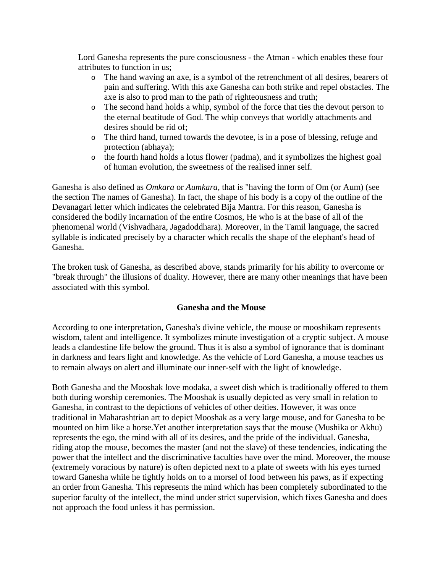Lord Ganesha represents the pure consciousness - the Atman - which enables these four attributes to function in us;

- o The hand waving an axe, is a symbol of the retrenchment of all desires, bearers of pain and suffering. With this axe Ganesha can both strike and repel obstacles. The axe is also to prod man to the path of righteousness and truth;
- o The second hand holds a whip, symbol of the force that ties the devout person to the eternal beatitude of God. The whip conveys that worldly attachments and desires should be rid of;
- o The third hand, turned towards the devotee, is in a pose of blessing, refuge and protection (abhaya);
- o the fourth hand holds a lotus flower (padma), and it symbolizes the highest goal of human evolution, the sweetness of the realised inner self.

Ganesha is also defined as *Omkara* or *Aumkara,* that is "having the form of Om (or Aum) (see the section The names of Ganesha). In fact, the shape of his body is a copy of the outline of the Devanagari letter which indicates the celebrated Bija Mantra. For this reason, Ganesha is considered the bodily incarnation of the entire Cosmos, He who is at the base of all of the phenomenal world (Vishvadhara, Jagadoddhara). Moreover, in the Tamil language, the sacred syllable is indicated precisely by a character which recalls the shape of the elephant's head of Ganesha.

The broken tusk of Ganesha, as described above, stands primarily for his ability to overcome or "break through" the illusions of duality. However, there are many other meanings that have been associated with this symbol.

# **Ganesha and the Mouse**

According to one interpretation, Ganesha's divine vehicle, the mouse or mooshikam represents wisdom, talent and intelligence. It symbolizes minute investigation of a cryptic subject. A mouse leads a clandestine life below the ground. Thus it is also a symbol of ignorance that is dominant in darkness and fears light and knowledge. As the vehicle of Lord Ganesha, a mouse teaches us to remain always on alert and illuminate our inner-self with the light of knowledge.

Both Ganesha and the Mooshak love modaka, a sweet dish which is traditionally offered to them both during worship ceremonies. The Mooshak is usually depicted as very small in relation to Ganesha, in contrast to the depictions of vehicles of other deities. However, it was once traditional in Maharashtrian art to depict Mooshak as a very large mouse, and for Ganesha to be mounted on him like a horse.Yet another interpretation says that the mouse (Mushika or Akhu) represents the ego, the mind with all of its desires, and the pride of the individual. Ganesha, riding atop the mouse, becomes the master (and not the slave) of these tendencies, indicating the power that the intellect and the discriminative faculties have over the mind. Moreover, the mouse (extremely voracious by nature) is often depicted next to a plate of sweets with his eyes turned toward Ganesha while he tightly holds on to a morsel of food between his paws, as if expecting an order from Ganesha. This represents the mind which has been completely subordinated to the superior faculty of the intellect, the mind under strict supervision, which fixes Ganesha and does not approach the food unless it has permission.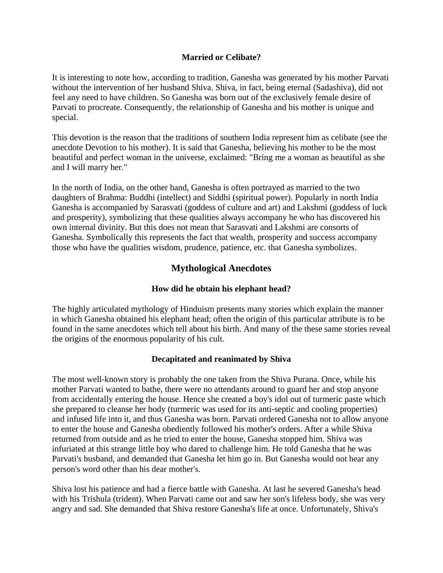## **Married or Celibate?**

It is interesting to note how, according to tradition, Ganesha was generated by his mother Parvati without the intervention of her husband Shiva. Shiva, in fact, being eternal (Sadashiva), did not feel any need to have children. So Ganesha was born out of the exclusively female desire of Parvati to procreate. Consequently, the relationship of Ganesha and his mother is unique and special.

This devotion is the reason that the traditions of southern India represent him as celibate (see the anecdote Devotion to his mother). It is said that Ganesha, believing his mother to be the most beautiful and perfect woman in the universe, exclaimed: "Bring me a woman as beautiful as she and I will marry her."

In the north of India, on the other hand, Ganesha is often portrayed as married to the two daughters of Brahma: Buddhi (intellect) and Siddhi (spiritual power). Popularly in north India Ganesha is accompanied by Sarasvati (goddess of culture and art) and Lakshmi (goddess of luck and prosperity), symbolizing that these qualities always accompany he who has discovered his own internal divinity. But this does not mean that Sarasvati and Lakshmi are consorts of Ganesha. Symbolically this represents the fact that wealth, prosperity and success accompany those who have the qualities wisdom, prudence, patience, etc. that Ganesha symbolizes.

# **Mythological Anecdotes**

# **How did he obtain his elephant head?**

The highly articulated mythology of Hinduism presents many stories which explain the manner in which Ganesha obtained his elephant head; often the origin of this particular attribute is to be found in the same anecdotes which tell about his birth. And many of the these same stories reveal the origins of the enormous popularity of his cult.

#### **Decapitated and reanimated by Shiva**

The most well-known story is probably the one taken from the Shiva Purana. Once, while his mother Parvati wanted to bathe, there were no attendants around to guard her and stop anyone from accidentally entering the house. Hence she created a boy's idol out of turmeric paste which she prepared to cleanse her body (turmeric was used for its anti-septic and cooling properties) and infused life into it, and thus Ganesha was born. Parvati ordered Ganesha not to allow anyone to enter the house and Ganesha obediently followed his mother's orders. After a while Shiva returned from outside and as he tried to enter the house, Ganesha stopped him. Shiva was infuriated at this strange little boy who dared to challenge him. He told Ganesha that he was Parvati's husband, and demanded that Ganesha let him go in. But Ganesha would not hear any person's word other than his dear mother's.

Shiva lost his patience and had a fierce battle with Ganesha. At last he severed Ganesha's head with his Trishula (trident). When Parvati came out and saw her son's lifeless body, she was very angry and sad. She demanded that Shiva restore Ganesha's life at once. Unfortunately, Shiva's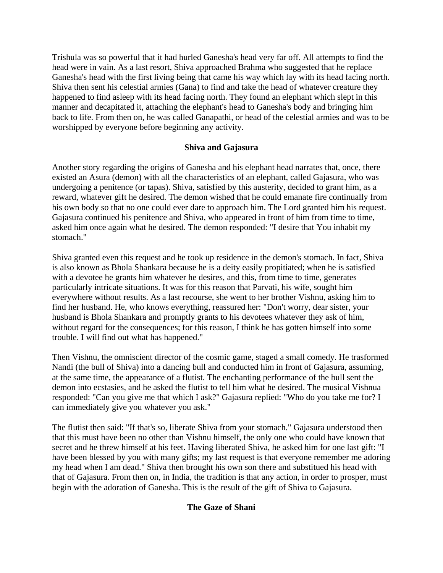Trishula was so powerful that it had hurled Ganesha's head very far off. All attempts to find the head were in vain. As a last resort, Shiva approached Brahma who suggested that he replace Ganesha's head with the first living being that came his way which lay with its head facing north. Shiva then sent his celestial armies (Gana) to find and take the head of whatever creature they happened to find asleep with its head facing north. They found an elephant which slept in this manner and decapitated it, attaching the elephant's head to Ganesha's body and bringing him back to life. From then on, he was called Ganapathi, or head of the celestial armies and was to be worshipped by everyone before beginning any activity.

# **Shiva and Gajasura**

Another story regarding the origins of Ganesha and his elephant head narrates that, once, there existed an Asura (demon) with all the characteristics of an elephant, called Gajasura, who was undergoing a penitence (or tapas). Shiva, satisfied by this austerity, decided to grant him, as a reward, whatever gift he desired. The demon wished that he could emanate fire continually from his own body so that no one could ever dare to approach him. The Lord granted him his request. Gajasura continued his penitence and Shiva, who appeared in front of him from time to time, asked him once again what he desired. The demon responded: "I desire that You inhabit my stomach."

Shiva granted even this request and he took up residence in the demon's stomach. In fact, Shiva is also known as Bhola Shankara because he is a deity easily propitiated; when he is satisfied with a devotee he grants him whatever he desires, and this, from time to time, generates particularly intricate situations. It was for this reason that Parvati, his wife, sought him everywhere without results. As a last recourse, she went to her brother Vishnu, asking him to find her husband. He, who knows everything, reassured her: "Don't worry, dear sister, your husband is Bhola Shankara and promptly grants to his devotees whatever they ask of him, without regard for the consequences; for this reason, I think he has gotten himself into some trouble. I will find out what has happened."

Then Vishnu, the omniscient director of the cosmic game, staged a small comedy. He trasformed Nandi (the bull of Shiva) into a dancing bull and conducted him in front of Gajasura, assuming, at the same time, the appearance of a flutist. The enchanting performance of the bull sent the demon into ecstasies, and he asked the flutist to tell him what he desired. The musical Vishnua responded: "Can you give me that which I ask?" Gajasura replied: "Who do you take me for? I can immediately give you whatever you ask."

The flutist then said: "If that's so, liberate Shiva from your stomach." Gajasura understood then that this must have been no other than Vishnu himself, the only one who could have known that secret and he threw himself at his feet. Having liberated Shiva, he asked him for one last gift: "I have been blessed by you with many gifts; my last request is that everyone remember me adoring my head when I am dead." Shiva then brought his own son there and substitued his head with that of Gajasura. From then on, in India, the tradition is that any action, in order to prosper, must begin with the adoration of Ganesha. This is the result of the gift of Shiva to Gajasura.

# **The Gaze of Shani**